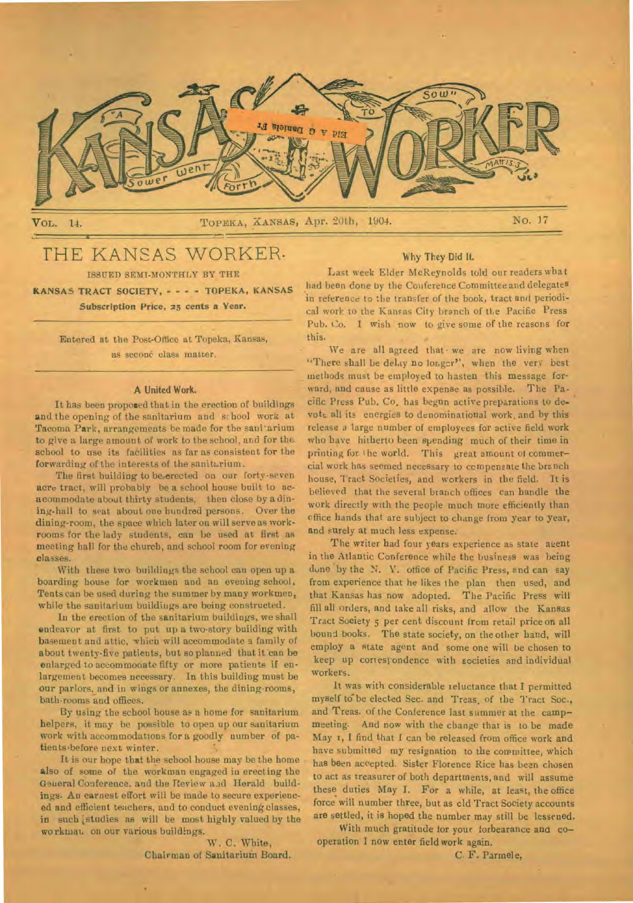

## THE KANSAS WORKER.

ISSUED SEMI-MONTHLY BY THE

KANSAS TRACT SOCIETY, - - - - TOPEKA, KANSAS Subscription Price, 25 cents a Year.

Entered at the Post-Office at Topeka, Kansas, as second class matter.

#### A United Work.

It has been proposed that in the erection of buildings and the opening of the sanitarium and school work at Tacoma Park, arrangements be made for the sanitarium to give a large amount of work to the school, and for the school to use its facilities as far as consistent for the forwarding of the interests of the sanitarium.

The first building to be orected on our forty-seven acre tract, will probably be a school house built to acacommodate about thirty students, then close by a dining-hall to seat about one hundred persons. Over the dining-room, the space which later on will serve as workrooms for the lady students, can be used at first as meeting hall for the church, and school room for evening classes.

With these two buildings the school can open up a boarding house for workmen and an evening school, Tents can be used during the summer by many workmen, while the sanitarium buildings are being constructed.

In the erection of the sanitarium buildings, we shall endeavor at first to put up a two-story building with basement and attic, which will accommodate a family of about twenty-five patients, but so planned that it can be enlarged to aceommoaate fifty or more patients if enlargement becomes necessary. In this building must be our parlors, and in wings or annexes, the dining-rooms, bath-rooms and offices.

By using the school house as a home for sanitarium helpers, it may be possible to open up our sanitarium work with accommodations for a goodly number of patients'before next winter.

It is our hope that the school house may be the home also of some of the workman engaged in erecting the General Conference, and the Review and Herald buildings. An earnest effort will be made to secure experienced and efficient teachers, and to conduct evening classes, in such studies as will be most highly valued by the wo rkmai. on our various buildings.

> W. C. White, Chairman of Sanitarium Board.

#### Why They Did It.

Last week Elder McReynolds told our readers what had been done by the Conference Committee and delegates in reference to the transfer of the book, tract and periodical work to the Kansas City branch of tl,e Pacific Press Pub. Co. I wish now to give some of the reasons for this.

We are all agreed that we are now living when "There shall be delay no longer", when the very best methods must be employed to hasten this message forward, and cause as little expense as possible. The Pacific Press Pub. Co. has begun active preparations to devote all its energies to denominational work, and by this release a large number of employees for active field work who have hitherto been spending much of their time in printing for the world. This great amount of commercial work has seemed necessary to compensate the branch house, Tract Societies, and workers in the field. It is believed that the several branch offices can handle the work directly with the people much more efficiently than office hands that are subject to change from year to year, and surely at much less expense:

The writer had four years experience as state agent in the Atlantic Conference while the business was being dune by the N. V. office of Pacific Press, end can say from experience that he likes the plan then used, and that Kansas has now adopted. The Pacific Press will fill all orders, and take all risks, and allow the Kansas Tract Society 5 per cent discount from retail price on all bound books. The state society, on the other hand, will employ a state agent and some one will be chosen to keep up coriesrondence with societies and individual workers.

It was with considerable reluctance that I permitted myself to be elected Sec. and Treas, of the Tract Soc., and Treas. of the Conference last summer at the camp meeting. And now with the change that is to be made May 1, I find that I can be released from office work and have submitted my resignation to the committee, which has been accepted. Sister Florence Rice has been chosen to act as treasurer of both departments, and will assume these duties May I. For a while, at least, the office force will number three, but as cld Tract Society accounts are settled, it is hoped the number may still be lessened.

With much gratitude for your forbearance and cooperation I now enter field work again.

C. F. Parmele,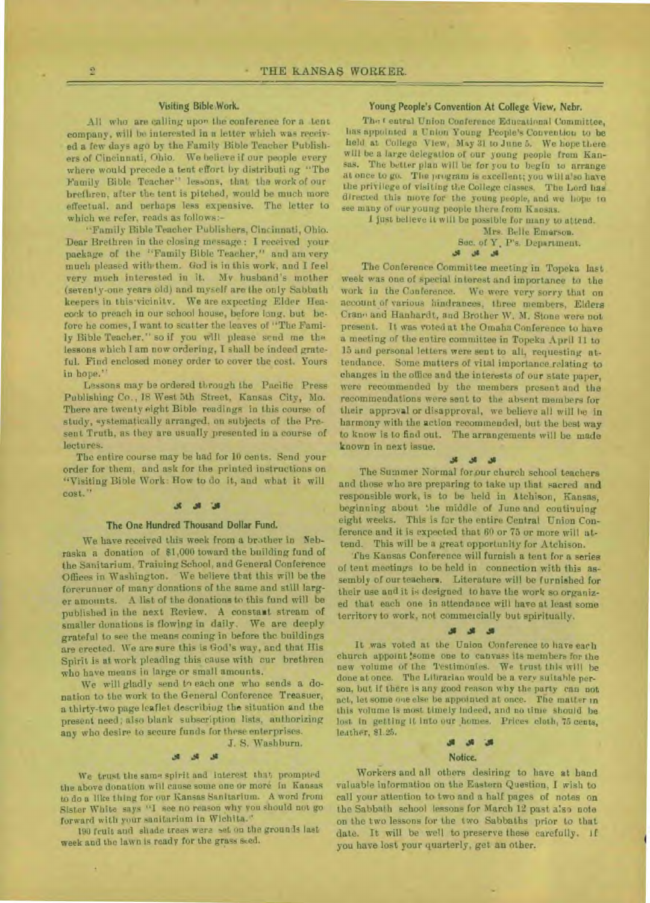#### Visiting Bible Work.

All who are calling upon the conference for a tent company, will be interested in a letter which was received a few days ago by the Family Bible Teacher Publishers of Cincinnati, Ohio. We believe if our people every where would precede a tent effort by dietributi ng "The Family Bible Teacher" lessons, that the work of our brethren, after the tent is pitched, would be much more effectual. and nerbaps less expensive. The letter to which we refer, reads as follows:-

"Family Bible Teacher Publishers, Cincinnati, Ohio. Dear Brethren in the closing message : I received your package of the "Family Bible Teacher," and am very much pleased with them. God is in this work, and I feel very much interested in it. My husband's mother (seventy-one years old) and myself are the only Sabbath keepers in this•vicinity. We are expecting Elder Heacoek to preach in our school house, before long. but before he comes, I want to scatter the leaves of "The Family Bible Teacher." so if you will please send me the lessons which I am now ordering, I shall be indeed grateful. Find enclosed money order to cover the cost. Yours in hope.''

Lessons may be ordered through the Pacific Press Publishing Co., 18 West 5th Street, Kansas City, Mo. There are twenty eight Bible readings in this course of study, systematically arranged, on subjects of the Present Truth, as they are usually presented in a course of lectures.

The entire course may be had for 10 cents. Send your order for them, and ask for the printed instructions on "Visiting Bible Work: How to do it, and what it will cost."

#### ' *J•* :0

#### The One Hundred Thousand Dollar Fund.

We have received this week from a brather in Nebraska a donation of \$1,000 toward the building fund of the Sanitarium. Training School. and General Conference Offices in Washington. We believe that this will be the forerunner of many donations of the same and still larger amounts. A list of the donations to this fund will be published in the next Review. A constant stream of smaller donations is flowing in daily. We are deeply grateful to see the means coming in before the buildings are erected. We are sure this is God's *way.* and that His Spirit is at work pleading this cause with cur brethren who have means in large or small amounts.

We will gladly send to each one who sends a donation to the work to the General Conference Treasuer, a thirty-two page leaflet. describiug the situation and the present need; also blank subscription lists, authorizing any who desire to secure funds for these enterprises.

J. S. Washburn.

#### *0 0*

We trust the same spirit and interest that prompted the above donation will cause some one or more in Kansas to do a like thing for our Kansas Sanitarium. A word from Sister White says "I see no reason why you should not go forward with your sanitarium In Wichita."

100 fruit and shade trees wera set on the grounds last week and the lawn Is ready for the grass seed.

#### Young People's Convention At College View, Nebr.

The f entral Union Conference Educational Committee, has appointed a Union Young People's Convention to be held at College View, May 31 to June 5. We hope there will be a large delegation of our young people from Kansas. The better plan will be for you to begin to arrange at once to go. The program is excellent; you will also have the privilege of visiting the College classes. The Lord line directed this move for the young people, and we hope to see many of our young people there from Kansas.

I just believe it will be possible for many to attend.

Mrs. Belle Emerson. Sec. of Y, P's. Department. <sup>0</sup>*0 0* 

The Conference Committee meeting in Topeka last week was one of special interest and importance to the work in the Conference. We were very sorry that on account of various hindrances, three members, Elders Crane and Hanhardt, and Brother W. M. Stone were not present. It was voted at the Omaha Conference to have a meeting of the entire committee in Topeka April 11 to 15 and personal letters were sent to all, requesting attendance. Some matters of vital importance relating to changes in the office and the interests of our state paper, were recommended by the members present and the recommendations were sent to the absent members for their approval or disapproval, we believe all will be in harmony with the action recommended, but the best way to know is to find out. The arrangements will be made known in next issue.

#### **0 0 0**

The Summer Normal for our church school teachers and those who are preparing to take up that sacred and responsible work, is to be held in Atchison, Kansas, beginning about the middle of June and continuing eight weeks. This is for the entire Central Union Conference and it is expected that 60 or 75 or more will attend. This will be a great opportunity for Atchison.

The Kansas Conference will furnish a tent for a series of tent meetings to be held in connection with this assembly of our teachers. Literature will be furnished for their use and it is deeigned to have the work so organized that each one in attendance will have at least some territory to work, not commercially but spiritually.

#### **SG**  $35 - 35$

It was voted at the Union Conference to have each church appoint 'some one to canvass its members for the new volume of the Testimonies. We trust this will be done at once. The Librarian would be a very suitable person, but if there is any good reason why the party can not act, let some one else be appointed at once. The matter in this volume Is most timely Indeed, and no time should be lost in getting it into our homes. Prices cloth, 75 cents, leather, \$1.25.

#### **ST**  $9.9$

#### Notice..

Workers and all others desiring to have at band valuable information on the Eastern Question, I wish to call your attention to two and a half pages of notes on the Sabbath school lessons for March 12 past also note on the two lessons for the two Sabbaths prior to that date. It will be well to preserve these carefully. If you have lost your quarterly, get an other.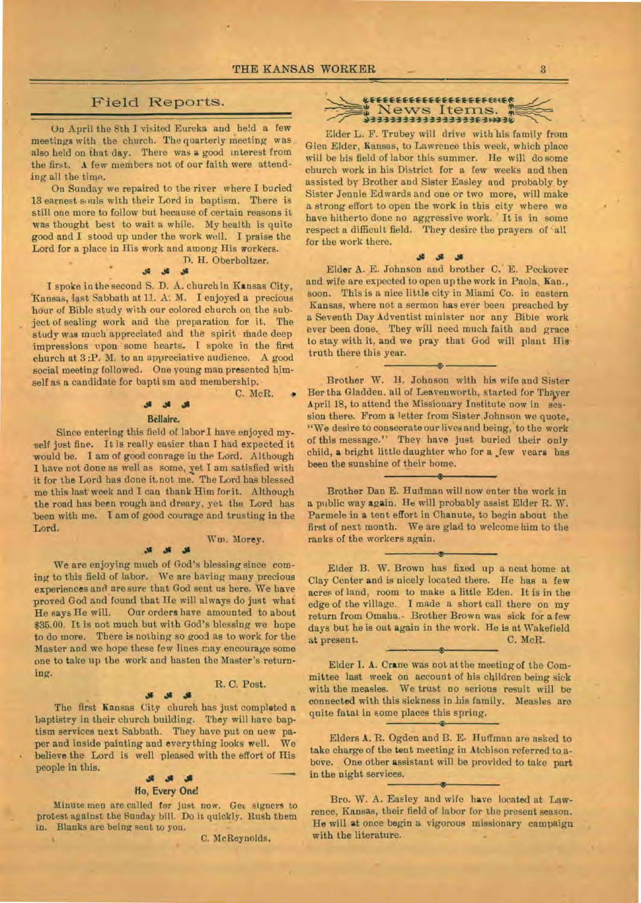#### Field Reports.

On April the 8th I visited Eureka and held a few meetings with the church. The quarterly meeting was also held on that day. There was a good interest from the first. A few members not of our faith were attending all the time.

On Sunday we repaired to the river where I buried 13 earnest souls with their Lord in baptism. There is still one more to follow but because of certain reasons it was thought best to wait a while. My health is quite good and I stood up under the work well. I praise the Lord for a place in His work and among His workers.

#### D. H. Oberholtzer. **JS**

I spoke in the second S. D. A. church in Kansas City, `Kansas, last Sabbath at 11. A. M. I enjoyed a precious hour of Bible study with our colored church on the subject of sealing work and the preparation for it. The study was much appreciated and the spirit made deep impressions upon some hearts. I spoke in the first church at 3 :P. M. to an appreciative audience. A good social meeting followed. One young man presented himself as a candidate for baptism and membership.

#### **41**

#### Bellaire.

Since entering this field of labor I have enjoyed myself just fine. It is really easier than I had expected it would be. I am of good courage in the Lord. Although I have not done as well as some, yet I am satisfied with it for the Lord has done it,not me. The Lord has blessed me this last week and I can thank Him for it. Although the road has been rough and dreary, yet the Lord has been with me. I am of good courage and trusting in the Lord.

#### Wm. Morey.  $36$

We are enjoying much of God's blessing since coming to this field of labor. We are having many precious experiences and are sure that God sent us here. We have proved God and found that He will always do just what<br>He says He will. Our orders have amounted to about Our orders have amounted to about \$35.00. It is not much but with God's blessing we hope to do more. There is nothing so good as to work for the Master and we hope these few lines may encourage some one to take up the work and hasten the Master's returning.

#### R. C. Post.

C. McR.

The first Kansas City church has just completed a baptistry in their church building. They will have baptism services next Sabbath. They have put on uew paper and inside painting and everything looks well. We believe the Lord is well pleased with the effort of His people in this.

**Ji JI .11** 

## **JR**

### **Ho, Every One!**

Minute men are called for just now. Get signers to protest against the Sunday bill. Do it quickly. Rush them in. Blanks are being sent to you.

C. McReynolds.

**UEEEEEEEEEEEEEEEEEEEE** rk-News Items.<br>Seesseesseesseessä

Elder L. F. Trubey will drive with his family from Glen Elder, Kansas, to Lawrence this week, which place will be his field of labor this summer. He will do some church work in his District for a few weeks and then assisted by Brother and Sister Easley and probably by Sister Jennie Edwards and one or two more, will make a strong effort to open the work in this city where we have hitherto done no aggressive work. It is in some respect a difficult field. They desire the prayers of all for the work there.

#### **.311**

Elder A. E. Johnson and brother C. E. Peckover and wife are expected to open up the work in Paola, Kan., soon. This is a nice little city in Miami Co. in eastern Kansas, where not a sermon has ever been preached by a Seventh Day Adventist minister nor any Bible work ever been done. They will need much faith and grace to stay with it, and we pray that God will plant His truth there this year.

Brother W. H. Johnson with his wife and Sister Bertha Gladden, all of Leavenworth, started for Thayer April 18, to attend the Missionary Institute now in session there. From a letter from Sister Johnson we quote, "We desire to consecrate our lives and being, to the work of this message." They have just buried their only child, a bright little daughter who for a few years has been the sunshine of their home.

Brother Dan E. Huffman will now enter the work in a public way again. He will probably assist Elder R. W. Parmele in a tent effort in Chanute, to begin about the first of next month. We are glad to welcome him to the ranks of the workers again.

Elder B. W. Brown has fixed up a neat home at Clay Center and is nicely located there. He has a few acres of land, room to make a little Eden. It is in the edge of the village. I made a short call there on my return from Omaha.• Brother Brown was sick for a few days but he is out again in the work. He is at Wakefield at present. C. McR.

Elder I. A. Crane was not at the meeting of the Committee last week on account of his children being sick with the measles. We trust no serious result will be connected with this sickness in his family. Measles **are**  quite fatal in some places this spring.

Elders A. R. Ogden and B. E. Huffman are asked to take charge of the tent meeting in Atchison referred to above. One other assistant will be provided to take part in the night services.

Bro. W. A. Easley and wife have located at Lawrence, Kansas, their field of labor for the present season. He will at once begin a vigorous missionary campaign with the literature.